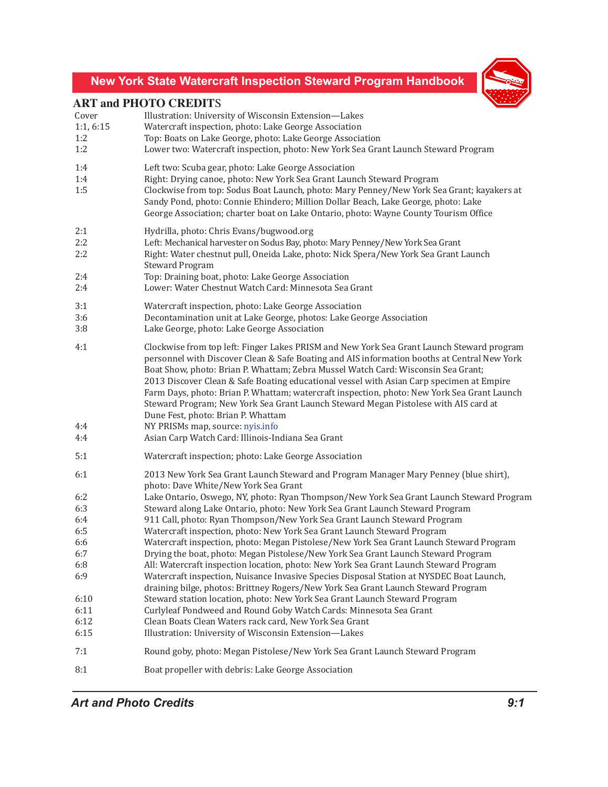## **New York State Watercraft Inspection Steward Program Handbook**



## **ART and PHOTO CREDIT**S

|           | ANI and I HOTO CREDITS                                                                                                                                                                                                                                                                                                                                                                                                                                                                                                                                                                                |
|-----------|-------------------------------------------------------------------------------------------------------------------------------------------------------------------------------------------------------------------------------------------------------------------------------------------------------------------------------------------------------------------------------------------------------------------------------------------------------------------------------------------------------------------------------------------------------------------------------------------------------|
| Cover     | Illustration: University of Wisconsin Extension-Lakes                                                                                                                                                                                                                                                                                                                                                                                                                                                                                                                                                 |
| 1:1, 6:15 | Watercraft inspection, photo: Lake George Association                                                                                                                                                                                                                                                                                                                                                                                                                                                                                                                                                 |
| 1:2       | Top: Boats on Lake George, photo: Lake George Association                                                                                                                                                                                                                                                                                                                                                                                                                                                                                                                                             |
| 1:2       | Lower two: Watercraft inspection, photo: New York Sea Grant Launch Steward Program                                                                                                                                                                                                                                                                                                                                                                                                                                                                                                                    |
| 1:4       | Left two: Scuba gear, photo: Lake George Association                                                                                                                                                                                                                                                                                                                                                                                                                                                                                                                                                  |
| 1:4       | Right: Drying canoe, photo: New York Sea Grant Launch Steward Program                                                                                                                                                                                                                                                                                                                                                                                                                                                                                                                                 |
| 1:5       | Clockwise from top: Sodus Boat Launch, photo: Mary Penney/New York Sea Grant; kayakers at<br>Sandy Pond, photo: Connie Ehindero; Million Dollar Beach, Lake George, photo: Lake<br>George Association; charter boat on Lake Ontario, photo: Wayne County Tourism Office                                                                                                                                                                                                                                                                                                                               |
| 2:1       | Hydrilla, photo: Chris Evans/bugwood.org                                                                                                                                                                                                                                                                                                                                                                                                                                                                                                                                                              |
| 2:2       | Left: Mechanical harvester on Sodus Bay, photo: Mary Penney/New York Sea Grant                                                                                                                                                                                                                                                                                                                                                                                                                                                                                                                        |
| 2:2       | Right: Water chestnut pull, Oneida Lake, photo: Nick Spera/New York Sea Grant Launch<br><b>Steward Program</b>                                                                                                                                                                                                                                                                                                                                                                                                                                                                                        |
| 2:4       | Top: Draining boat, photo: Lake George Association                                                                                                                                                                                                                                                                                                                                                                                                                                                                                                                                                    |
| 2:4       | Lower: Water Chestnut Watch Card: Minnesota Sea Grant                                                                                                                                                                                                                                                                                                                                                                                                                                                                                                                                                 |
| 3:1       | Watercraft inspection, photo: Lake George Association                                                                                                                                                                                                                                                                                                                                                                                                                                                                                                                                                 |
| 3:6       | Decontamination unit at Lake George, photos: Lake George Association                                                                                                                                                                                                                                                                                                                                                                                                                                                                                                                                  |
| 3:8       | Lake George, photo: Lake George Association                                                                                                                                                                                                                                                                                                                                                                                                                                                                                                                                                           |
| 4:1       | Clockwise from top left: Finger Lakes PRISM and New York Sea Grant Launch Steward program<br>personnel with Discover Clean & Safe Boating and AIS information booths at Central New York<br>Boat Show, photo: Brian P. Whattam; Zebra Mussel Watch Card: Wisconsin Sea Grant;<br>2013 Discover Clean & Safe Boating educational vessel with Asian Carp specimen at Empire<br>Farm Days, photo: Brian P. Whattam; watercraft inspection, photo: New York Sea Grant Launch<br>Steward Program; New York Sea Grant Launch Steward Megan Pistolese with AIS card at<br>Dune Fest, photo: Brian P. Whattam |
| 4:4       | NY PRISMs map, source: nyis.info                                                                                                                                                                                                                                                                                                                                                                                                                                                                                                                                                                      |
| 4:4       | Asian Carp Watch Card: Illinois-Indiana Sea Grant                                                                                                                                                                                                                                                                                                                                                                                                                                                                                                                                                     |
| 5:1       | Watercraft inspection; photo: Lake George Association                                                                                                                                                                                                                                                                                                                                                                                                                                                                                                                                                 |
| 6:1       | 2013 New York Sea Grant Launch Steward and Program Manager Mary Penney (blue shirt),<br>photo: Dave White/New York Sea Grant                                                                                                                                                                                                                                                                                                                                                                                                                                                                          |
| 6:2       | Lake Ontario, Oswego, NY, photo: Ryan Thompson/New York Sea Grant Launch Steward Program                                                                                                                                                                                                                                                                                                                                                                                                                                                                                                              |
| 6:3       | Steward along Lake Ontario, photo: New York Sea Grant Launch Steward Program                                                                                                                                                                                                                                                                                                                                                                                                                                                                                                                          |
| 6:4       | 911 Call, photo: Ryan Thompson/New York Sea Grant Launch Steward Program                                                                                                                                                                                                                                                                                                                                                                                                                                                                                                                              |
| 6:5       | Watercraft inspection, photo: New York Sea Grant Launch Steward Program                                                                                                                                                                                                                                                                                                                                                                                                                                                                                                                               |
| 6:6       | Watercraft inspection, photo: Megan Pistolese/New York Sea Grant Launch Steward Program                                                                                                                                                                                                                                                                                                                                                                                                                                                                                                               |
| 6:7       | Drying the boat, photo: Megan Pistolese/New York Sea Grant Launch Steward Program                                                                                                                                                                                                                                                                                                                                                                                                                                                                                                                     |
| 6:8       | All: Watercraft inspection location, photo: New York Sea Grant Launch Steward Program                                                                                                                                                                                                                                                                                                                                                                                                                                                                                                                 |
| 6:9       | Watercraft inspection, Nuisance Invasive Species Disposal Station at NYSDEC Boat Launch,<br>draining bilge, photos: Brittney Rogers/New York Sea Grant Launch Steward Program                                                                                                                                                                                                                                                                                                                                                                                                                         |
| 6:10      | Steward station location, photo: New York Sea Grant Launch Steward Program                                                                                                                                                                                                                                                                                                                                                                                                                                                                                                                            |
| 6:11      | Curlyleaf Pondweed and Round Goby Watch Cards: Minnesota Sea Grant                                                                                                                                                                                                                                                                                                                                                                                                                                                                                                                                    |
| 6:12      | Clean Boats Clean Waters rack card, New York Sea Grant                                                                                                                                                                                                                                                                                                                                                                                                                                                                                                                                                |
| 6:15      | Illustration: University of Wisconsin Extension-Lakes                                                                                                                                                                                                                                                                                                                                                                                                                                                                                                                                                 |
| 7:1       | Round goby, photo: Megan Pistolese/New York Sea Grant Launch Steward Program                                                                                                                                                                                                                                                                                                                                                                                                                                                                                                                          |
| 8:1       | Boat propeller with debris: Lake George Association                                                                                                                                                                                                                                                                                                                                                                                                                                                                                                                                                   |

*Art and Photo Credits 9:1*